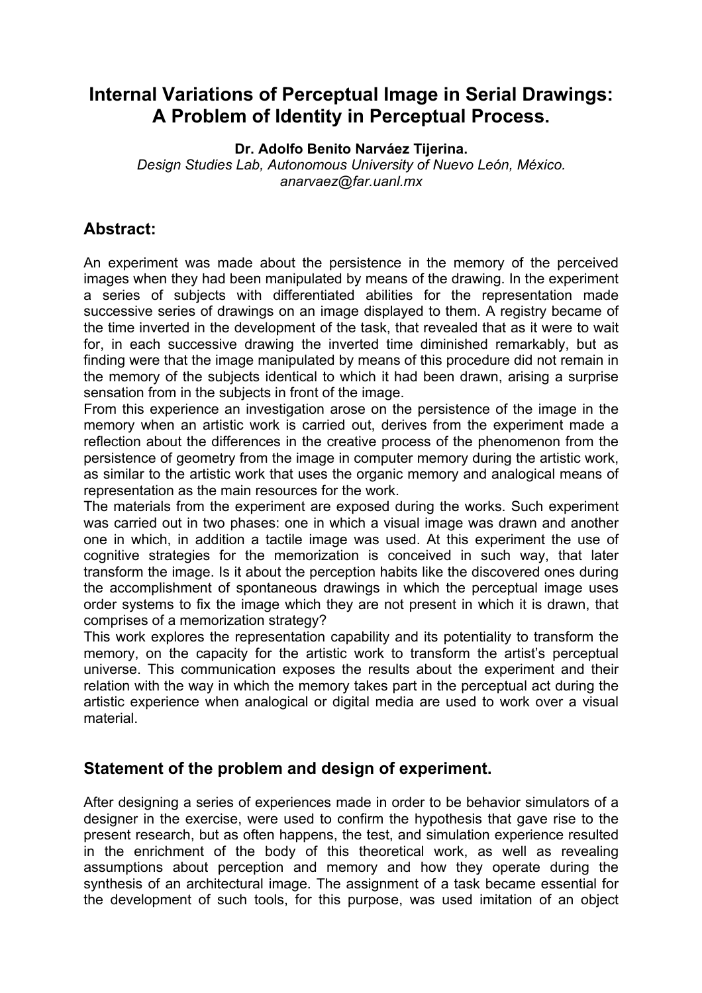# **Internal Variations of Perceptual Image in Serial Drawings: A Problem of Identity in Perceptual Process.**

**Dr. Adolfo Benito Narváez Tijerina.** 

*Design Studies Lab, Autonomous University of Nuevo León, México. anarvaez@far.uanl.mx* 

# **Abstract:**

An experiment was made about the persistence in the memory of the perceived images when they had been manipulated by means of the drawing. In the experiment a series of subjects with differentiated abilities for the representation made successive series of drawings on an image displayed to them. A registry became of the time inverted in the development of the task, that revealed that as it were to wait for, in each successive drawing the inverted time diminished remarkably, but as finding were that the image manipulated by means of this procedure did not remain in the memory of the subjects identical to which it had been drawn, arising a surprise sensation from in the subjects in front of the image.

From this experience an investigation arose on the persistence of the image in the memory when an artistic work is carried out, derives from the experiment made a reflection about the differences in the creative process of the phenomenon from the persistence of geometry from the image in computer memory during the artistic work, as similar to the artistic work that uses the organic memory and analogical means of representation as the main resources for the work.

The materials from the experiment are exposed during the works. Such experiment was carried out in two phases: one in which a visual image was drawn and another one in which, in addition a tactile image was used. At this experiment the use of cognitive strategies for the memorization is conceived in such way, that later transform the image. Is it about the perception habits like the discovered ones during the accomplishment of spontaneous drawings in which the perceptual image uses order systems to fix the image which they are not present in which it is drawn, that comprises of a memorization strategy?

This work explores the representation capability and its potentiality to transform the memory, on the capacity for the artistic work to transform the artist's perceptual universe. This communication exposes the results about the experiment and their relation with the way in which the memory takes part in the perceptual act during the artistic experience when analogical or digital media are used to work over a visual material.

# **Statement of the problem and design of experiment.**

After designing a series of experiences made in order to be behavior simulators of a designer in the exercise, were used to confirm the hypothesis that gave rise to the present research, but as often happens, the test, and simulation experience resulted in the enrichment of the body of this theoretical work, as well as revealing assumptions about perception and memory and how they operate during the synthesis of an architectural image. The assignment of a task became essential for the development of such tools, for this purpose, was used imitation of an object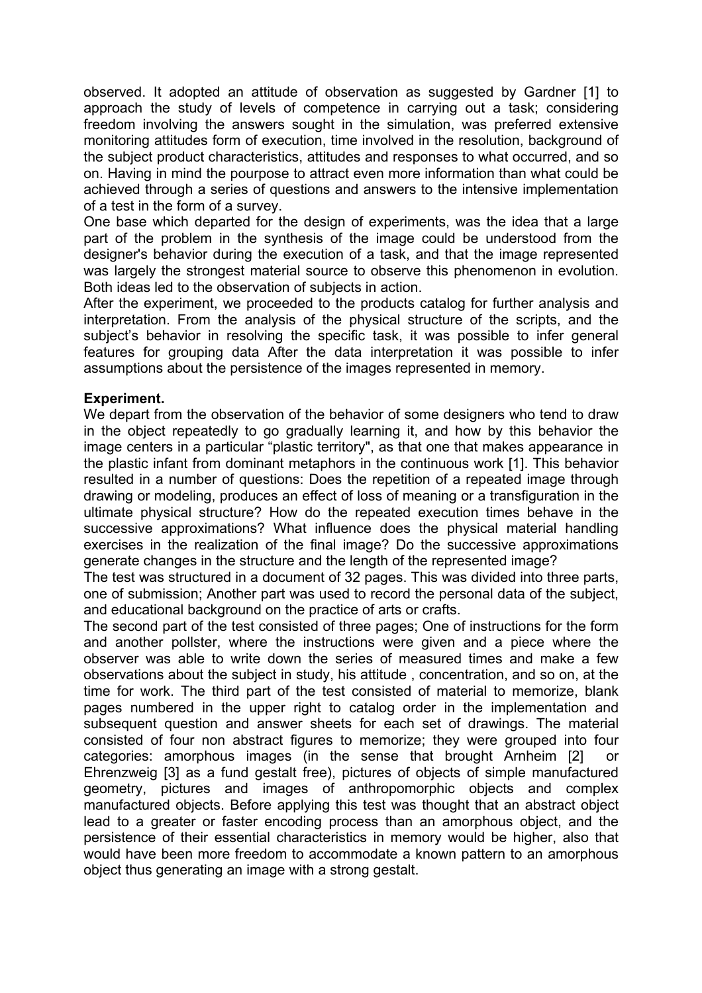observed. It adopted an attitude of observation as suggested by Gardner [1] to approach the study of levels of competence in carrying out a task; considering freedom involving the answers sought in the simulation, was preferred extensive monitoring attitudes form of execution, time involved in the resolution, background of the subject product characteristics, attitudes and responses to what occurred, and so on. Having in mind the pourpose to attract even more information than what could be achieved through a series of questions and answers to the intensive implementation of a test in the form of a survey.

One base which departed for the design of experiments, was the idea that a large part of the problem in the synthesis of the image could be understood from the designer's behavior during the execution of a task, and that the image represented was largely the strongest material source to observe this phenomenon in evolution. Both ideas led to the observation of subjects in action.

After the experiment, we proceeded to the products catalog for further analysis and interpretation. From the analysis of the physical structure of the scripts, and the subject's behavior in resolving the specific task, it was possible to infer general features for grouping data After the data interpretation it was possible to infer assumptions about the persistence of the images represented in memory.

### **Experiment.**

We depart from the observation of the behavior of some designers who tend to draw in the object repeatedly to go gradually learning it, and how by this behavior the image centers in a particular "plastic territory", as that one that makes appearance in the plastic infant from dominant metaphors in the continuous work [1]. This behavior resulted in a number of questions: Does the repetition of a repeated image through drawing or modeling, produces an effect of loss of meaning or a transfiguration in the ultimate physical structure? How do the repeated execution times behave in the successive approximations? What influence does the physical material handling exercises in the realization of the final image? Do the successive approximations generate changes in the structure and the length of the represented image?

The test was structured in a document of 32 pages. This was divided into three parts, one of submission; Another part was used to record the personal data of the subject, and educational background on the practice of arts or crafts.

The second part of the test consisted of three pages; One of instructions for the form and another pollster, where the instructions were given and a piece where the observer was able to write down the series of measured times and make a few observations about the subject in study, his attitude , concentration, and so on, at the time for work. The third part of the test consisted of material to memorize, blank pages numbered in the upper right to catalog order in the implementation and subsequent question and answer sheets for each set of drawings. The material consisted of four non abstract figures to memorize; they were grouped into four categories: amorphous images (in the sense that brought Arnheim [2] or Ehrenzweig [3] as a fund gestalt free), pictures of objects of simple manufactured geometry, pictures and images of anthropomorphic objects and complex manufactured objects. Before applying this test was thought that an abstract object lead to a greater or faster encoding process than an amorphous object, and the persistence of their essential characteristics in memory would be higher, also that would have been more freedom to accommodate a known pattern to an amorphous object thus generating an image with a strong gestalt.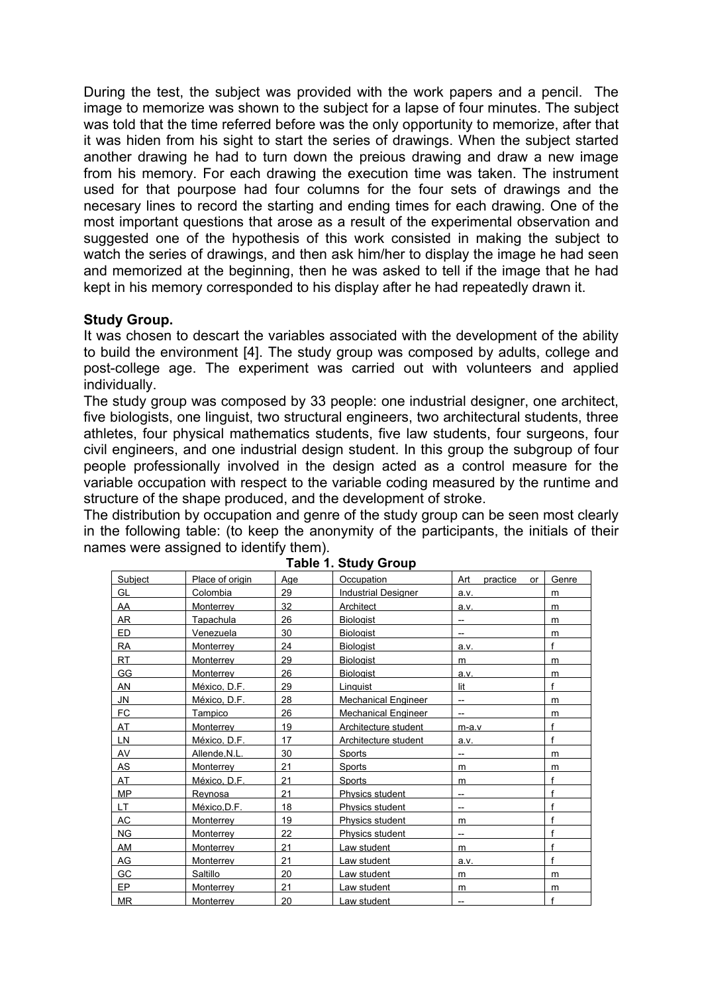During the test, the subject was provided with the work papers and a pencil. The image to memorize was shown to the subject for a lapse of four minutes. The subject was told that the time referred before was the only opportunity to memorize, after that it was hiden from his sight to start the series of drawings. When the subject started another drawing he had to turn down the preious drawing and draw a new image from his memory. For each drawing the execution time was taken. The instrument used for that pourpose had four columns for the four sets of drawings and the necesary lines to record the starting and ending times for each drawing. One of the most important questions that arose as a result of the experimental observation and suggested one of the hypothesis of this work consisted in making the subject to watch the series of drawings, and then ask him/her to display the image he had seen and memorized at the beginning, then he was asked to tell if the image that he had kept in his memory corresponded to his display after he had repeatedly drawn it.

### **Study Group.**

It was chosen to descart the variables associated with the development of the ability to build the environment [4]. The study group was composed by adults, college and post-college age. The experiment was carried out with volunteers and applied individually.

The study group was composed by 33 people: one industrial designer, one architect, five biologists, one linguist, two structural engineers, two architectural students, three athletes, four physical mathematics students, five law students, four surgeons, four civil engineers, and one industrial design student. In this group the subgroup of four people professionally involved in the design acted as a control measure for the variable occupation with respect to the variable coding measured by the runtime and structure of the shape produced, and the development of stroke.

The distribution by occupation and genre of the study group can be seen most clearly in the following table: (to keep the anonymity of the participants, the initials of their names were assigned to identify them).

| Subiect   | Place of origin  | Age | Occupation                 | practice<br>Art<br>or    | Genre |
|-----------|------------------|-----|----------------------------|--------------------------|-------|
| GL        | Colombia         | 29  | <b>Industrial Designer</b> | a.v.                     | m     |
| AA        | Monterrey        | 32  | Architect                  | a.v.                     | m     |
| AR        | Tapachula        | 26  | <b>Biologist</b>           | $\overline{a}$           | m     |
| <b>ED</b> | Venezuela        | 30  | <b>Biologist</b>           | --                       | m     |
| RA        | Monterrey        | 24  | <b>Biologist</b>           | a.v.                     | £     |
| RT        | Monterrey        | 29  | <b>Biologist</b>           | m                        | m     |
| GG        | Monterrey        | 26  | <b>Biologist</b>           | a.v.                     | m     |
| AN        | México, D.F.     | 29  | Linguist                   | lit                      | f     |
| JN        | México, D.F.     | 28  | <b>Mechanical Engineer</b> | $\overline{\phantom{a}}$ | m     |
| FC        | Tampico          | 26  | <b>Mechanical Engineer</b> | $\qquad \qquad -$        | m     |
| AT        | Monterrey        | 19  | Architecture student       | m-a.v                    | £     |
| LN        | México. D.F.     | 17  | Architecture student       | a.v.                     |       |
| AV        | Allende, N.L.    | 30  | Sports                     | --                       | m     |
| AS        | Monterrey        | 21  | Sports                     | m                        | m     |
| AT        | México. D.F.     | 21  | Sports                     | m                        |       |
| MP        | Reynosa          | 21  | Physics student            | $\overline{\phantom{a}}$ |       |
| LT        | México.D.F.      | 18  | Physics student            | $\overline{\phantom{a}}$ |       |
| АC        | Monterrey        | 19  | Physics student            | m                        |       |
| ΝG        | <b>Monterrey</b> | 22  | Physics student            | $\overline{\phantom{a}}$ |       |
| AM        | Monterrey        | 21  | Law student                | m                        |       |
| AG        | Monterrey        | 21  | Law student                | a.v.                     |       |
| GC        | Saltillo         | 20  | Law student                | m                        | m     |
| EP        | Monterrev        | 21  | Law student                | m                        | m     |
| <b>MR</b> | Monterrey        | 20  | Law student                | $\overline{\phantom{a}}$ |       |

|  | Table 1. Study Group |
|--|----------------------|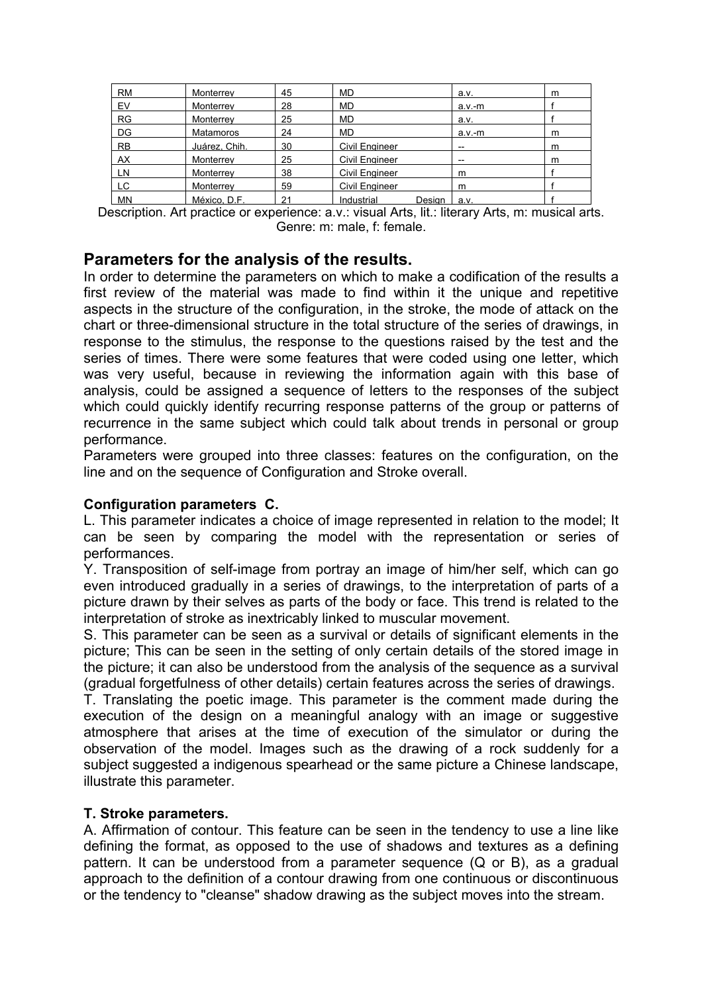| <b>RM</b> | Monterrey     | 45 | MD                    | a.v.   | m |
|-----------|---------------|----|-----------------------|--------|---|
| EV        | Monterrey     | 28 | <b>MD</b>             | a.v.-m |   |
| RG        | Monterrey     | 25 | <b>MD</b>             | a.v.   |   |
| DG        | Matamoros     | 24 | <b>MD</b>             | a.v.m  | m |
| <b>RB</b> | Juárez, Chih. | 30 | Civil Engineer        | $-$    | m |
| AX        | Monterrey     | 25 | Civil Engineer        | $-$    | m |
| LN        | Monterrey     | 38 | Civil Engineer        | m      |   |
| LC        | Monterrey     | 59 | <b>Civil Engineer</b> | m      |   |
| <b>MN</b> | México, D.F.  | 21 | Industrial<br>Desian  | a.v.   |   |

Description. Art practice or experience: a.v.: visual Arts, lit.: literary Arts, m: musical arts. Genre: m: male, f: female.

# **Parameters for the analysis of the results.**

In order to determine the parameters on which to make a codification of the results a first review of the material was made to find within it the unique and repetitive aspects in the structure of the configuration, in the stroke, the mode of attack on the chart or three-dimensional structure in the total structure of the series of drawings, in response to the stimulus, the response to the questions raised by the test and the series of times. There were some features that were coded using one letter, which was very useful, because in reviewing the information again with this base of analysis, could be assigned a sequence of letters to the responses of the subject which could quickly identify recurring response patterns of the group or patterns of recurrence in the same subject which could talk about trends in personal or group performance.

Parameters were grouped into three classes: features on the configuration, on the line and on the sequence of Configuration and Stroke overall.

### **Configuration parameters C.**

L. This parameter indicates a choice of image represented in relation to the model; It can be seen by comparing the model with the representation or series of performances.

Y. Transposition of self-image from portray an image of him/her self, which can go even introduced gradually in a series of drawings, to the interpretation of parts of a picture drawn by their selves as parts of the body or face. This trend is related to the interpretation of stroke as inextricably linked to muscular movement.

S. This parameter can be seen as a survival or details of significant elements in the picture; This can be seen in the setting of only certain details of the stored image in the picture; it can also be understood from the analysis of the sequence as a survival (gradual forgetfulness of other details) certain features across the series of drawings.

T. Translating the poetic image. This parameter is the comment made during the execution of the design on a meaningful analogy with an image or suggestive atmosphere that arises at the time of execution of the simulator or during the observation of the model. Images such as the drawing of a rock suddenly for a subject suggested a indigenous spearhead or the same picture a Chinese landscape, illustrate this parameter.

### **T. Stroke parameters.**

A. Affirmation of contour. This feature can be seen in the tendency to use a line like defining the format, as opposed to the use of shadows and textures as a defining pattern. It can be understood from a parameter sequence (Q or B), as a gradual approach to the definition of a contour drawing from one continuous or discontinuous or the tendency to "cleanse" shadow drawing as the subject moves into the stream.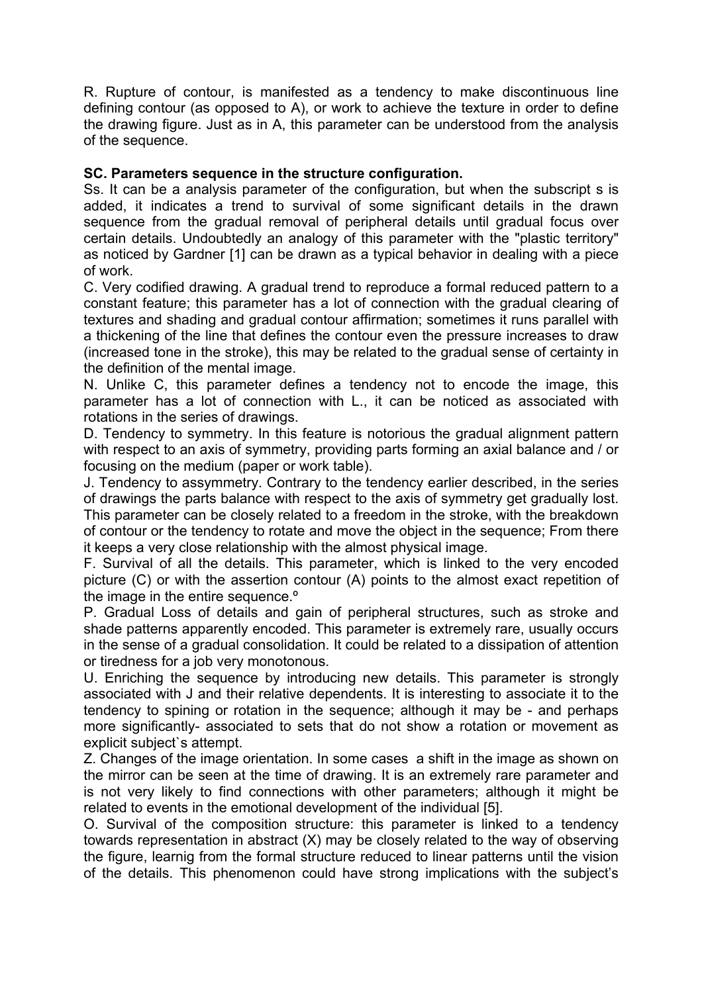R. Rupture of contour, is manifested as a tendency to make discontinuous line defining contour (as opposed to A), or work to achieve the texture in order to define the drawing figure. Just as in A, this parameter can be understood from the analysis of the sequence.

### **SC. Parameters sequence in the structure configuration.**

Ss. It can be a analysis parameter of the configuration, but when the subscript s is added, it indicates a trend to survival of some significant details in the drawn sequence from the gradual removal of peripheral details until gradual focus over certain details. Undoubtedly an analogy of this parameter with the "plastic territory" as noticed by Gardner [1] can be drawn as a typical behavior in dealing with a piece of work.

C. Very codified drawing. A gradual trend to reproduce a formal reduced pattern to a constant feature; this parameter has a lot of connection with the gradual clearing of textures and shading and gradual contour affirmation; sometimes it runs parallel with a thickening of the line that defines the contour even the pressure increases to draw (increased tone in the stroke), this may be related to the gradual sense of certainty in the definition of the mental image.

N. Unlike C, this parameter defines a tendency not to encode the image, this parameter has a lot of connection with L., it can be noticed as associated with rotations in the series of drawings.

D. Tendency to symmetry. In this feature is notorious the gradual alignment pattern with respect to an axis of symmetry, providing parts forming an axial balance and / or focusing on the medium (paper or work table).

J. Tendency to assymmetry. Contrary to the tendency earlier described, in the series of drawings the parts balance with respect to the axis of symmetry get gradually lost. This parameter can be closely related to a freedom in the stroke, with the breakdown of contour or the tendency to rotate and move the object in the sequence; From there it keeps a very close relationship with the almost physical image.

F. Survival of all the details. This parameter, which is linked to the very encoded picture (C) or with the assertion contour (A) points to the almost exact repetition of the image in the entire sequence.º

P. Gradual Loss of details and gain of peripheral structures, such as stroke and shade patterns apparently encoded. This parameter is extremely rare, usually occurs in the sense of a gradual consolidation. It could be related to a dissipation of attention or tiredness for a job very monotonous.

U. Enriching the sequence by introducing new details. This parameter is strongly associated with J and their relative dependents. It is interesting to associate it to the tendency to spining or rotation in the sequence; although it may be - and perhaps more significantly- associated to sets that do not show a rotation or movement as explicit subject`s attempt.

Z. Changes of the image orientation. In some cases a shift in the image as shown on the mirror can be seen at the time of drawing. It is an extremely rare parameter and is not very likely to find connections with other parameters; although it might be related to events in the emotional development of the individual [5].

O. Survival of the composition structure: this parameter is linked to a tendency towards representation in abstract (X) may be closely related to the way of observing the figure, learnig from the formal structure reduced to linear patterns until the vision of the details. This phenomenon could have strong implications with the subject's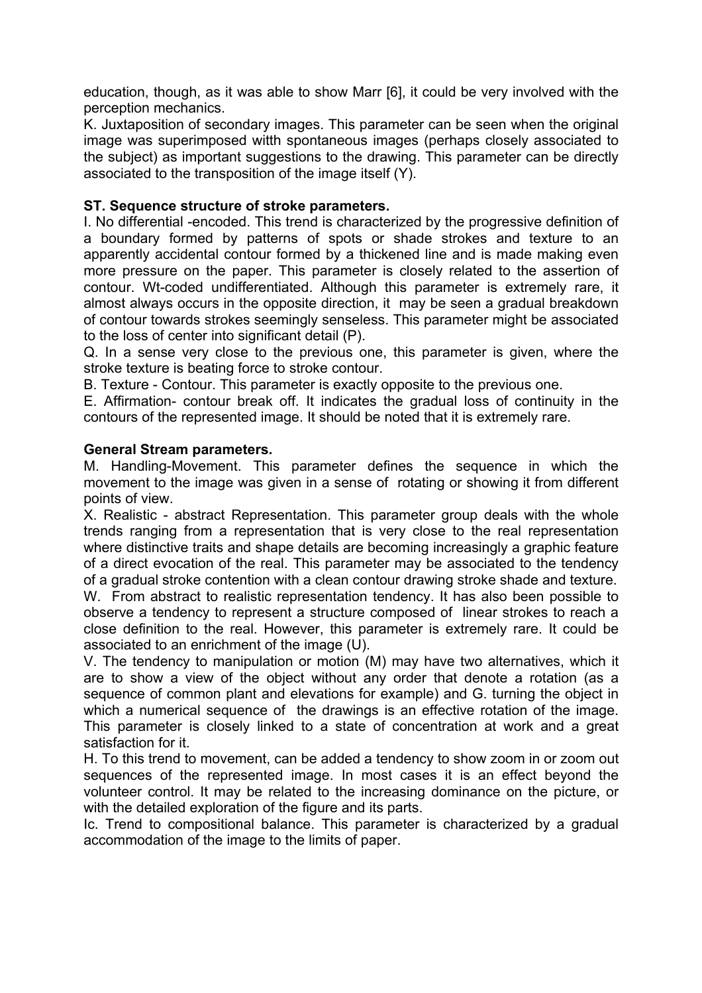education, though, as it was able to show Marr [6], it could be very involved with the perception mechanics.

K. Juxtaposition of secondary images. This parameter can be seen when the original image was superimposed witth spontaneous images (perhaps closely associated to the subject) as important suggestions to the drawing. This parameter can be directly associated to the transposition of the image itself (Y).

### **ST. Sequence structure of stroke parameters.**

I. No differential -encoded. This trend is characterized by the progressive definition of a boundary formed by patterns of spots or shade strokes and texture to an apparently accidental contour formed by a thickened line and is made making even more pressure on the paper. This parameter is closely related to the assertion of contour. Wt-coded undifferentiated. Although this parameter is extremely rare, it almost always occurs in the opposite direction, it may be seen a gradual breakdown of contour towards strokes seemingly senseless. This parameter might be associated to the loss of center into significant detail (P).

Q. In a sense very close to the previous one, this parameter is given, where the stroke texture is beating force to stroke contour.

B. Texture - Contour. This parameter is exactly opposite to the previous one.

E. Affirmation- contour break off. It indicates the gradual loss of continuity in the contours of the represented image. It should be noted that it is extremely rare.

### **General Stream parameters.**

M. Handling-Movement. This parameter defines the sequence in which the movement to the image was given in a sense of rotating or showing it from different points of view.

X. Realistic - abstract Representation. This parameter group deals with the whole trends ranging from a representation that is very close to the real representation where distinctive traits and shape details are becoming increasingly a graphic feature of a direct evocation of the real. This parameter may be associated to the tendency of a gradual stroke contention with a clean contour drawing stroke shade and texture. W. From abstract to realistic representation tendency. It has also been possible to observe a tendency to represent a structure composed of linear strokes to reach a close definition to the real. However, this parameter is extremely rare. It could be

associated to an enrichment of the image (U). V. The tendency to manipulation or motion (M) may have two alternatives, which it are to show a view of the object without any order that denote a rotation (as a sequence of common plant and elevations for example) and G. turning the object in which a numerical sequence of the drawings is an effective rotation of the image. This parameter is closely linked to a state of concentration at work and a great satisfaction for it.

H. To this trend to movement, can be added a tendency to show zoom in or zoom out sequences of the represented image. In most cases it is an effect beyond the volunteer control. It may be related to the increasing dominance on the picture, or with the detailed exploration of the figure and its parts.

Ic. Trend to compositional balance. This parameter is characterized by a gradual accommodation of the image to the limits of paper.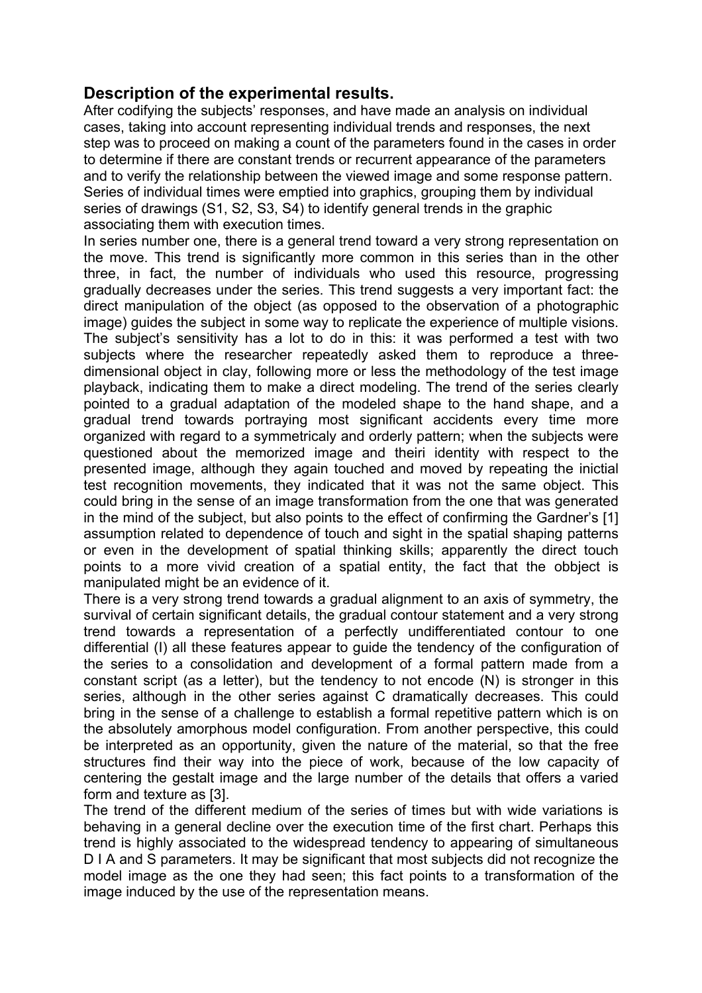# **Description of the experimental results.**

After codifying the subjects' responses, and have made an analysis on individual cases, taking into account representing individual trends and responses, the next step was to proceed on making a count of the parameters found in the cases in order to determine if there are constant trends or recurrent appearance of the parameters and to verify the relationship between the viewed image and some response pattern. Series of individual times were emptied into graphics, grouping them by individual series of drawings (S1, S2, S3, S4) to identify general trends in the graphic associating them with execution times.

In series number one, there is a general trend toward a very strong representation on the move. This trend is significantly more common in this series than in the other three, in fact, the number of individuals who used this resource, progressing gradually decreases under the series. This trend suggests a very important fact: the direct manipulation of the object (as opposed to the observation of a photographic image) guides the subject in some way to replicate the experience of multiple visions. The subject's sensitivity has a lot to do in this: it was performed a test with two subjects where the researcher repeatedly asked them to reproduce a threedimensional object in clay, following more or less the methodology of the test image playback, indicating them to make a direct modeling. The trend of the series clearly pointed to a gradual adaptation of the modeled shape to the hand shape, and a gradual trend towards portraying most significant accidents every time more organized with regard to a symmetricaly and orderly pattern; when the subjects were questioned about the memorized image and theiri identity with respect to the presented image, although they again touched and moved by repeating the inictial test recognition movements, they indicated that it was not the same object. This could bring in the sense of an image transformation from the one that was generated in the mind of the subject, but also points to the effect of confirming the Gardner's [1] assumption related to dependence of touch and sight in the spatial shaping patterns or even in the development of spatial thinking skills; apparently the direct touch points to a more vivid creation of a spatial entity, the fact that the obbject is manipulated might be an evidence of it.

There is a very strong trend towards a gradual alignment to an axis of symmetry, the survival of certain significant details, the gradual contour statement and a very strong trend towards a representation of a perfectly undifferentiated contour to one differential (I) all these features appear to guide the tendency of the configuration of the series to a consolidation and development of a formal pattern made from a constant script (as a letter), but the tendency to not encode (N) is stronger in this series, although in the other series against C dramatically decreases. This could bring in the sense of a challenge to establish a formal repetitive pattern which is on the absolutely amorphous model configuration. From another perspective, this could be interpreted as an opportunity, given the nature of the material, so that the free structures find their way into the piece of work, because of the low capacity of centering the gestalt image and the large number of the details that offers a varied form and texture as [3].

The trend of the different medium of the series of times but with wide variations is behaving in a general decline over the execution time of the first chart. Perhaps this trend is highly associated to the widespread tendency to appearing of simultaneous D I A and S parameters. It may be significant that most subjects did not recognize the model image as the one they had seen; this fact points to a transformation of the image induced by the use of the representation means.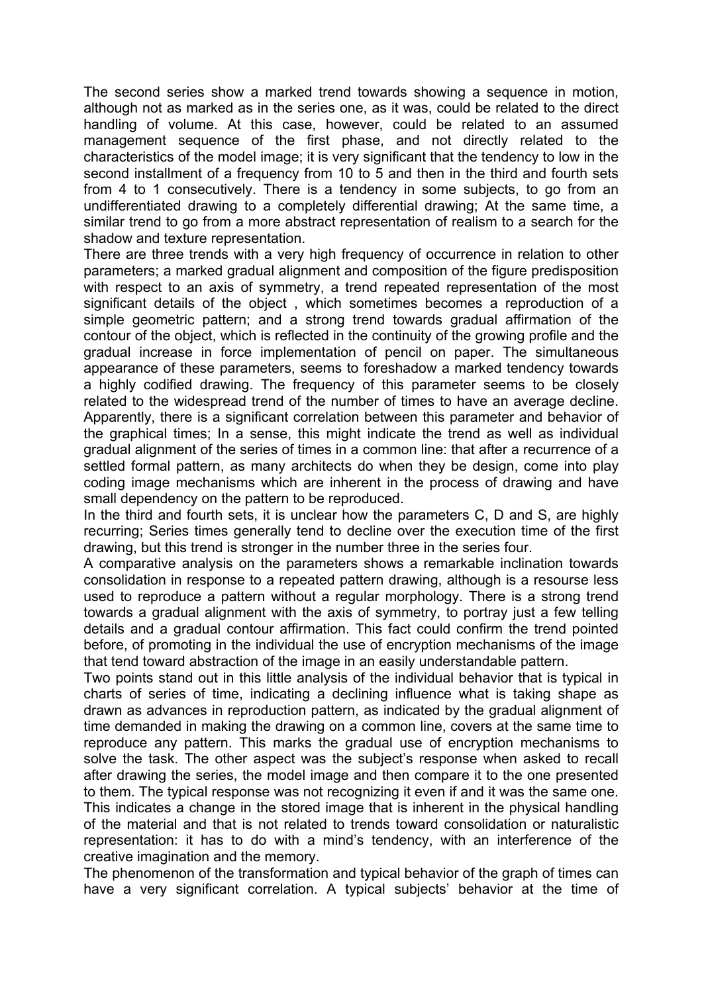The second series show a marked trend towards showing a sequence in motion, although not as marked as in the series one, as it was, could be related to the direct handling of volume. At this case, however, could be related to an assumed management sequence of the first phase, and not directly related to the characteristics of the model image; it is very significant that the tendency to low in the second installment of a frequency from 10 to 5 and then in the third and fourth sets from 4 to 1 consecutively. There is a tendency in some subjects, to go from an undifferentiated drawing to a completely differential drawing; At the same time, a similar trend to go from a more abstract representation of realism to a search for the shadow and texture representation.

There are three trends with a very high frequency of occurrence in relation to other parameters; a marked gradual alignment and composition of the figure predisposition with respect to an axis of symmetry, a trend repeated representation of the most significant details of the object , which sometimes becomes a reproduction of a simple geometric pattern; and a strong trend towards gradual affirmation of the contour of the object, which is reflected in the continuity of the growing profile and the gradual increase in force implementation of pencil on paper. The simultaneous appearance of these parameters, seems to foreshadow a marked tendency towards a highly codified drawing. The frequency of this parameter seems to be closely related to the widespread trend of the number of times to have an average decline. Apparently, there is a significant correlation between this parameter and behavior of the graphical times; In a sense, this might indicate the trend as well as individual gradual alignment of the series of times in a common line: that after a recurrence of a settled formal pattern, as many architects do when they be design, come into play coding image mechanisms which are inherent in the process of drawing and have small dependency on the pattern to be reproduced.

In the third and fourth sets, it is unclear how the parameters C, D and S, are highly recurring; Series times generally tend to decline over the execution time of the first drawing, but this trend is stronger in the number three in the series four.

A comparative analysis on the parameters shows a remarkable inclination towards consolidation in response to a repeated pattern drawing, although is a resourse less used to reproduce a pattern without a regular morphology. There is a strong trend towards a gradual alignment with the axis of symmetry, to portray just a few telling details and a gradual contour affirmation. This fact could confirm the trend pointed before, of promoting in the individual the use of encryption mechanisms of the image that tend toward abstraction of the image in an easily understandable pattern.

Two points stand out in this little analysis of the individual behavior that is typical in charts of series of time, indicating a declining influence what is taking shape as drawn as advances in reproduction pattern, as indicated by the gradual alignment of time demanded in making the drawing on a common line, covers at the same time to reproduce any pattern. This marks the gradual use of encryption mechanisms to solve the task. The other aspect was the subject's response when asked to recall after drawing the series, the model image and then compare it to the one presented to them. The typical response was not recognizing it even if and it was the same one. This indicates a change in the stored image that is inherent in the physical handling of the material and that is not related to trends toward consolidation or naturalistic representation: it has to do with a mind's tendency, with an interference of the creative imagination and the memory.

The phenomenon of the transformation and typical behavior of the graph of times can have a very significant correlation. A typical subjects' behavior at the time of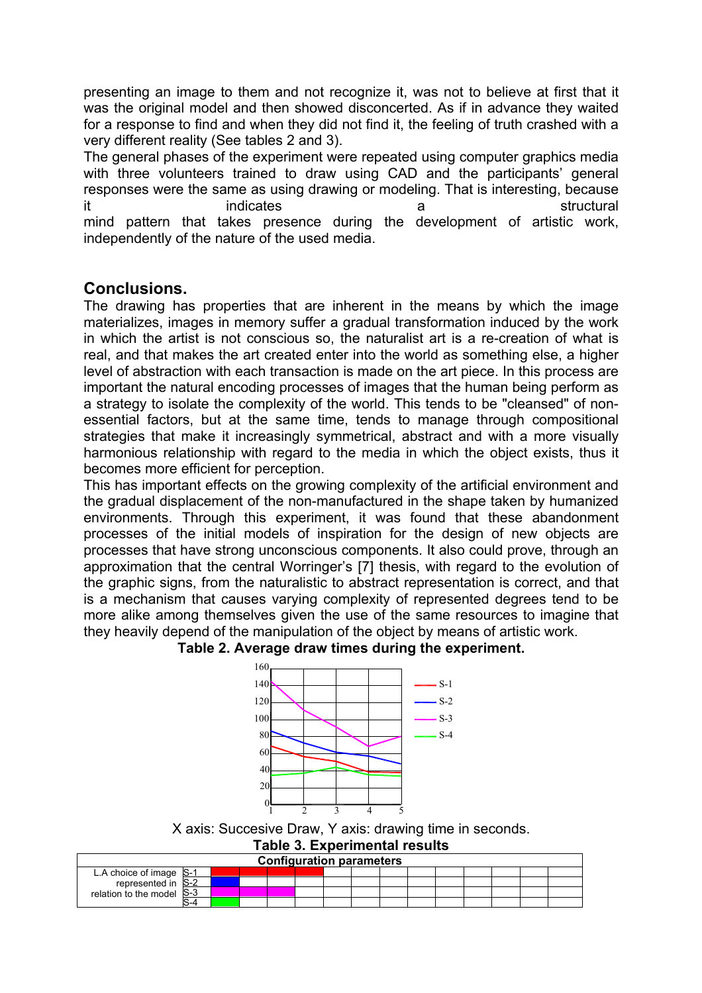presenting an image to them and not recognize it, was not to believe at first that it was the original model and then showed disconcerted. As if in advance they waited for a response to find and when they did not find it, the feeling of truth crashed with a very different reality (See tables 2 and 3).

The general phases of the experiment were repeated using computer graphics media with three volunteers trained to draw using CAD and the participants' general responses were the same as using drawing or modeling. That is interesting, because it indicates indicates a structural mind pattern that takes presence during the development of artistic work, independently of the nature of the used media.

# **Conclusions.**

The drawing has properties that are inherent in the means by which the image materializes, images in memory suffer a gradual transformation induced by the work in which the artist is not conscious so, the naturalist art is a re-creation of what is real, and that makes the art created enter into the world as something else, a higher level of abstraction with each transaction is made on the art piece. In this process are important the natural encoding processes of images that the human being perform as a strategy to isolate the complexity of the world. This tends to be "cleansed" of nonessential factors, but at the same time, tends to manage through compositional strategies that make it increasingly symmetrical, abstract and with a more visually harmonious relationship with regard to the media in which the object exists, thus it becomes more efficient for perception.

This has important effects on the growing complexity of the artificial environment and the gradual displacement of the non-manufactured in the shape taken by humanized environments. Through this experiment, it was found that these abandonment processes of the initial models of inspiration for the design of new objects are processes that have strong unconscious components. It also could prove, through an approximation that the central Worringer's [7] thesis, with regard to the evolution of the graphic signs, from the naturalistic to abstract representation is correct, and that is a mechanism that causes varying complexity of represented degrees tend to be more alike among themselves given the use of the same resources to imagine that they heavily depend of the manipulation of the object by means of artistic work.

### **Table 2. Average draw times during the experiment.**



X axis: Succesive Draw, Y axis: drawing time in seconds.

**Table 3. Experimental results** 

| <b>Configuration parameters</b> |     |  |  |  |  |  |  |  |  |  |  |  |  |
|---------------------------------|-----|--|--|--|--|--|--|--|--|--|--|--|--|
| $L.A$ choice of image $S-1$     |     |  |  |  |  |  |  |  |  |  |  |  |  |
| represented in S-2              |     |  |  |  |  |  |  |  |  |  |  |  |  |
| relation to the model S-3       |     |  |  |  |  |  |  |  |  |  |  |  |  |
|                                 | ¬-⊥ |  |  |  |  |  |  |  |  |  |  |  |  |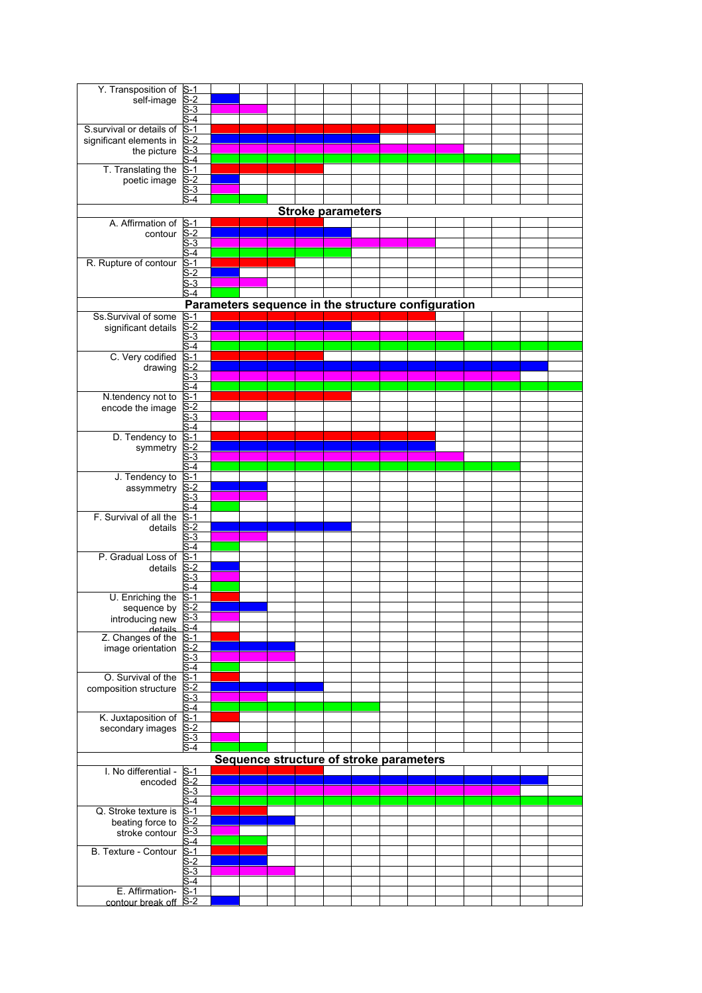| Y. Transposition of      | $S-1$                      |                                                                                                                       |                          |  |  |  |  |  |
|--------------------------|----------------------------|-----------------------------------------------------------------------------------------------------------------------|--------------------------|--|--|--|--|--|
| self-image               | $S-2$                      |                                                                                                                       |                          |  |  |  |  |  |
|                          | $\overline{\mathbf{S}}$ -3 |                                                                                                                       |                          |  |  |  |  |  |
|                          | $3-4$                      |                                                                                                                       |                          |  |  |  |  |  |
| S.survival or details of | $S-1$                      |                                                                                                                       |                          |  |  |  |  |  |
| significant elements in  | $S-2$                      |                                                                                                                       |                          |  |  |  |  |  |
| the picture              | $S-3$                      |                                                                                                                       |                          |  |  |  |  |  |
|                          | $S-4$                      |                                                                                                                       |                          |  |  |  |  |  |
| T. Translating the       | $S-1$                      |                                                                                                                       |                          |  |  |  |  |  |
| poetic image             | $S-2$                      |                                                                                                                       |                          |  |  |  |  |  |
|                          | $S-3$                      |                                                                                                                       |                          |  |  |  |  |  |
|                          | $S - 4$                    |                                                                                                                       |                          |  |  |  |  |  |
|                          |                            |                                                                                                                       | <b>Stroke parameters</b> |  |  |  |  |  |
|                          |                            |                                                                                                                       |                          |  |  |  |  |  |
| A. Affirmation of        | $S-1$                      |                                                                                                                       |                          |  |  |  |  |  |
| contour                  | $S-2$                      |                                                                                                                       |                          |  |  |  |  |  |
|                          | $S-3$                      |                                                                                                                       |                          |  |  |  |  |  |
|                          | $3-4$                      |                                                                                                                       |                          |  |  |  |  |  |
| R. Rupture of contour    | $S-1$                      |                                                                                                                       |                          |  |  |  |  |  |
|                          | $\overline{2}$             |                                                                                                                       |                          |  |  |  |  |  |
|                          | $S-3$                      |                                                                                                                       |                          |  |  |  |  |  |
|                          | $-4$                       |                                                                                                                       |                          |  |  |  |  |  |
|                          |                            | Parameters sequence in the structure configuration                                                                    |                          |  |  |  |  |  |
| Ss.Survival of some      | $S-1$                      |                                                                                                                       |                          |  |  |  |  |  |
| significant details      | $S-2$                      |                                                                                                                       |                          |  |  |  |  |  |
|                          | $S-3$                      |                                                                                                                       |                          |  |  |  |  |  |
|                          | $3-4$                      |                                                                                                                       |                          |  |  |  |  |  |
| C. Very codified         | $S-1$                      |                                                                                                                       |                          |  |  |  |  |  |
| drawing                  | $S-2$                      |                                                                                                                       |                          |  |  |  |  |  |
|                          | $3-3$                      |                                                                                                                       |                          |  |  |  |  |  |
|                          | S-4                        |                                                                                                                       |                          |  |  |  |  |  |
| N.tendency not to        | $S-1$                      |                                                                                                                       |                          |  |  |  |  |  |
| encode the image         | $S-2$                      |                                                                                                                       |                          |  |  |  |  |  |
|                          | ლ<br>ვ                     |                                                                                                                       |                          |  |  |  |  |  |
|                          | $3-4$                      |                                                                                                                       |                          |  |  |  |  |  |
| D. Tendency to           | $S-1$                      |                                                                                                                       |                          |  |  |  |  |  |
| symmetry                 | $S-2$                      |                                                                                                                       |                          |  |  |  |  |  |
|                          | $-3$                       |                                                                                                                       |                          |  |  |  |  |  |
|                          | 3-4                        |                                                                                                                       |                          |  |  |  |  |  |
| J. Tendency to           | $S-1$                      |                                                                                                                       |                          |  |  |  |  |  |
| assymmetry               | $S-2$                      |                                                                                                                       |                          |  |  |  |  |  |
|                          | $\overline{\mathbf{3}}$    |                                                                                                                       |                          |  |  |  |  |  |
|                          | -4                         |                                                                                                                       |                          |  |  |  |  |  |
| F. Survival of all the   | $S-1$                      |                                                                                                                       |                          |  |  |  |  |  |
| details                  | $S-2$                      |                                                                                                                       |                          |  |  |  |  |  |
|                          | $S-3$                      |                                                                                                                       |                          |  |  |  |  |  |
|                          | $-4$                       |                                                                                                                       |                          |  |  |  |  |  |
| P. Gradual Loss of       | $S-1$                      |                                                                                                                       |                          |  |  |  |  |  |
| details                  | $S-2$                      |                                                                                                                       |                          |  |  |  |  |  |
|                          | S-3                        |                                                                                                                       |                          |  |  |  |  |  |
|                          | $3-4$                      |                                                                                                                       |                          |  |  |  |  |  |
| U. Enriching the S-1     |                            |                                                                                                                       |                          |  |  |  |  |  |
| sequence by S-2          |                            |                                                                                                                       |                          |  |  |  |  |  |
| introducing new          | $S-3$                      |                                                                                                                       |                          |  |  |  |  |  |
| details                  | S-4                        |                                                                                                                       |                          |  |  |  |  |  |
| Z. Changes of the        | S-1                        |                                                                                                                       |                          |  |  |  |  |  |
| image orientation        | $S-2$                      |                                                                                                                       |                          |  |  |  |  |  |
|                          | $S-3$                      |                                                                                                                       |                          |  |  |  |  |  |
|                          | S-4                        |                                                                                                                       |                          |  |  |  |  |  |
| O. Survival of the       | $S-1$                      |                                                                                                                       |                          |  |  |  |  |  |
| composition structure    | $S-2$                      |                                                                                                                       |                          |  |  |  |  |  |
|                          | $S-3$                      |                                                                                                                       |                          |  |  |  |  |  |
|                          | $S-4$                      |                                                                                                                       |                          |  |  |  |  |  |
| K. Juxtaposition of      | $S-1$                      |                                                                                                                       |                          |  |  |  |  |  |
| secondary images         | $S-2$                      |                                                                                                                       |                          |  |  |  |  |  |
|                          | S-3                        |                                                                                                                       |                          |  |  |  |  |  |
|                          | S-4                        |                                                                                                                       |                          |  |  |  |  |  |
|                          |                            | Sequence structure of stroke parameters                                                                               |                          |  |  |  |  |  |
| I. No differential -     |                            |                                                                                                                       |                          |  |  |  |  |  |
|                          | $S-1$                      |                                                                                                                       |                          |  |  |  |  |  |
| encoded                  | $S-2$                      |                                                                                                                       |                          |  |  |  |  |  |
|                          | $S-3$<br>$S-4$             |                                                                                                                       |                          |  |  |  |  |  |
|                          |                            | <b>Contract Contract Contract Contract Contract Contract Contract Contract Contract Contract Contract Contract Co</b> |                          |  |  |  |  |  |
| Q. Stroke texture is     | $S-1$                      |                                                                                                                       |                          |  |  |  |  |  |
| beating force to         | $S-2$                      |                                                                                                                       |                          |  |  |  |  |  |
| stroke contour           | $S-3$                      |                                                                                                                       |                          |  |  |  |  |  |
|                          | 3-4                        |                                                                                                                       |                          |  |  |  |  |  |
| B. Texture - Contour     | $S-1$                      |                                                                                                                       |                          |  |  |  |  |  |
|                          | $S-2$                      |                                                                                                                       |                          |  |  |  |  |  |
|                          | $S-3$                      |                                                                                                                       |                          |  |  |  |  |  |
|                          | S-4                        |                                                                                                                       |                          |  |  |  |  |  |
| E. Affirmation-          | $S-1$                      |                                                                                                                       |                          |  |  |  |  |  |
| contour break off S-2    |                            |                                                                                                                       |                          |  |  |  |  |  |